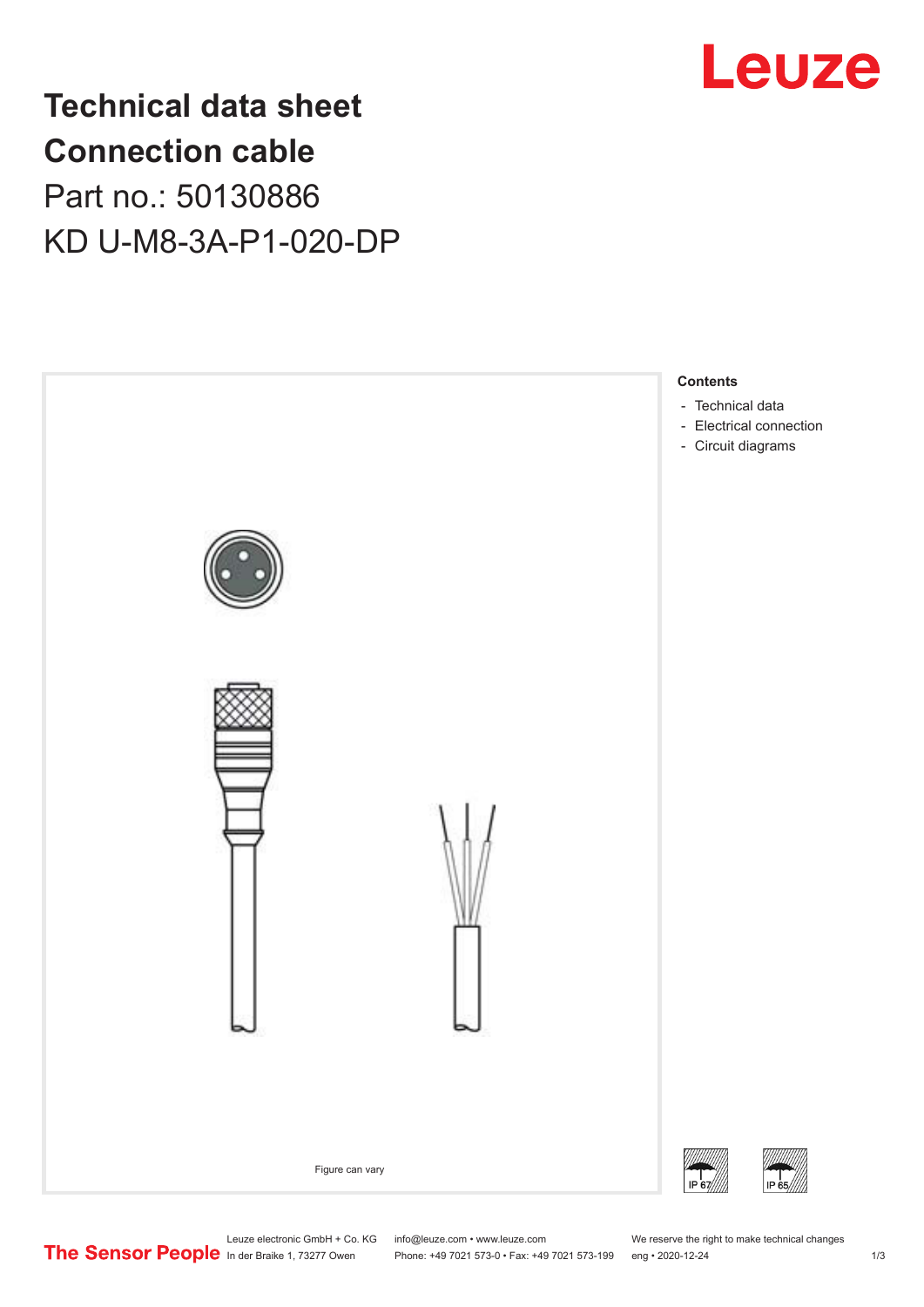

## **Technical data sheet Connection cable** Part no.: 50130886 KD U-M8-3A-P1-020-DP



Leuze electronic GmbH + Co. KG info@leuze.com • www.leuze.com We reserve the right to make technical changes<br>
The Sensor People in der Braike 1, 73277 Owen Phone: +49 7021 573-0 • Fax: +49 7021 573-199 eng • 2020-12-24

Phone: +49 7021 573-0 • Fax: +49 7021 573-199 eng • 2020-12-24 1 2020-12-24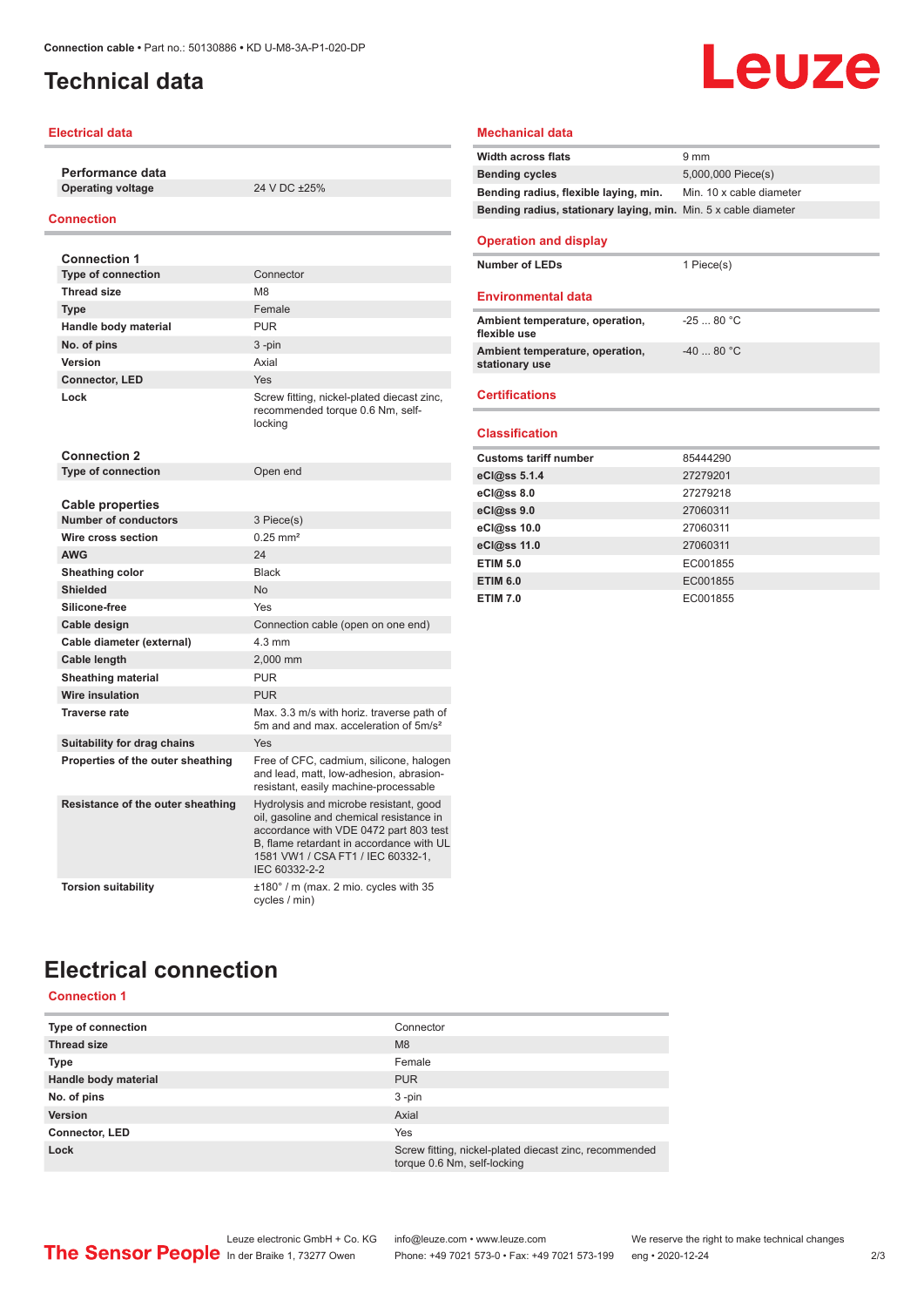## <span id="page-1-0"></span>**Technical data**

#### **Electrical data**

**Performance data Operating voltage** 24 V DC ±25%

#### **Connection**

| <b>Connection 1</b>                             |                                                                                                                                                                                                                                |
|-------------------------------------------------|--------------------------------------------------------------------------------------------------------------------------------------------------------------------------------------------------------------------------------|
| <b>Type of connection</b>                       | Connector                                                                                                                                                                                                                      |
| <b>Thread size</b>                              | M <sub>8</sub>                                                                                                                                                                                                                 |
| <b>Type</b>                                     | Female                                                                                                                                                                                                                         |
| Handle body material                            | <b>PUR</b>                                                                                                                                                                                                                     |
| No. of pins                                     | $3 - pin$                                                                                                                                                                                                                      |
| Version                                         | Axial                                                                                                                                                                                                                          |
| <b>Connector, LED</b>                           | Yes                                                                                                                                                                                                                            |
| Lock                                            | Screw fitting, nickel-plated diecast zinc,<br>recommended torque 0.6 Nm, self-<br>locking                                                                                                                                      |
| <b>Connection 2</b>                             |                                                                                                                                                                                                                                |
| <b>Type of connection</b>                       | Open end                                                                                                                                                                                                                       |
|                                                 |                                                                                                                                                                                                                                |
| Cable properties<br><b>Number of conductors</b> |                                                                                                                                                                                                                                |
| Wire cross section                              | 3 Piece(s)<br>$0.25$ mm <sup>2</sup>                                                                                                                                                                                           |
| <b>AWG</b>                                      | 24                                                                                                                                                                                                                             |
|                                                 | <b>Black</b>                                                                                                                                                                                                                   |
| Sheathing color<br><b>Shielded</b>              | <b>No</b>                                                                                                                                                                                                                      |
| Silicone-free                                   | Yes                                                                                                                                                                                                                            |
| Cable design                                    | Connection cable (open on one end)                                                                                                                                                                                             |
| Cable diameter (external)                       | $4.3 \text{ mm}$                                                                                                                                                                                                               |
| Cable length                                    | 2.000 mm                                                                                                                                                                                                                       |
| <b>Sheathing material</b>                       | <b>PUR</b>                                                                                                                                                                                                                     |
| <b>Wire insulation</b>                          | <b>PUR</b>                                                                                                                                                                                                                     |
| Traverse rate                                   | Max. 3.3 m/s with horiz. traverse path of                                                                                                                                                                                      |
|                                                 | 5m and and max acceleration of 5m/s <sup>2</sup>                                                                                                                                                                               |
| Suitability for drag chains                     | Yes                                                                                                                                                                                                                            |
| Properties of the outer sheathing               | Free of CFC, cadmium, silicone, halogen<br>and lead, matt, low-adhesion, abrasion-<br>resistant, easily machine-processable                                                                                                    |
| Resistance of the outer sheathing               | Hydrolysis and microbe resistant, good<br>oil, gasoline and chemical resistance in<br>accordance with VDE 0472 part 803 test<br>B. flame retardant in accordance with UL<br>1581 VW1 / CSA FT1 / IEC 60332-1.<br>IEC 60332-2-2 |
| <b>Torsion suitability</b>                      | ±180° / m (max. 2 mio. cycles with 35<br>cycles / min)                                                                                                                                                                         |

# Leuze

#### **Mechanical data**

| <b>Width across flats</b>                                       | $9 \text{ mm}$           |
|-----------------------------------------------------------------|--------------------------|
| <b>Bending cycles</b>                                           | 5,000,000 Piece(s)       |
| Bending radius, flexible laying, min.                           | Min. 10 x cable diameter |
| Bending radius, stationary laying, min. Min. 5 x cable diameter |                          |
|                                                                 |                          |

#### **Operation and display**

| <b>Number of LEDs</b>                             | 1 Piece(s) |
|---------------------------------------------------|------------|
| <b>Environmental data</b>                         |            |
| Ambient temperature, operation,<br>flexible use   | $-2580 °C$ |
| Ambient temperature, operation,<br>stationary use | $-4080 °C$ |

#### **Certifications**

#### **Classification**

| <b>Customs tariff number</b> | 85444290 |
|------------------------------|----------|
| eCl@ss 5.1.4                 | 27279201 |
| eCl@ss 8.0                   | 27279218 |
| eCl@ss 9.0                   | 27060311 |
| eCl@ss 10.0                  | 27060311 |
| eCl@ss 11.0                  | 27060311 |
| <b>ETIM 5.0</b>              | EC001855 |
| <b>ETIM 6.0</b>              | EC001855 |
| <b>ETIM 7.0</b>              | EC001855 |

## **Electrical connection**

#### **Connection 1**

| Type of connection    | Connector                                                                             |
|-----------------------|---------------------------------------------------------------------------------------|
| <b>Thread size</b>    | M <sub>8</sub>                                                                        |
| <b>Type</b>           | Female                                                                                |
| Handle body material  | <b>PUR</b>                                                                            |
| No. of pins           | $3 - pin$                                                                             |
| Version               | Axial                                                                                 |
| <b>Connector, LED</b> | Yes                                                                                   |
| Lock                  | Screw fitting, nickel-plated diecast zinc, recommended<br>torque 0.6 Nm, self-locking |